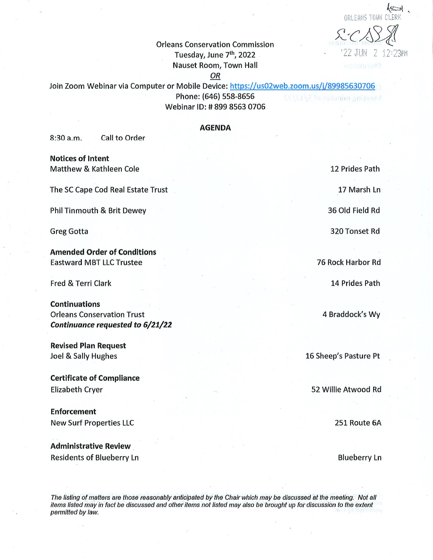$\approx$ ^cA 23PM

Orleans Conservation Commission Tuesdayjune 7th, 2022 '^ -"'• - Nauset Room, Town Hall

**OR** 

Join Zoom Webinar via Computer or Mobile Device: https://us02web.zoom.us/j/89985630706 Phone: (646) 558-8656 Meeting minutes of 5/17/22 Webinar ID: #899 8563 0706

## AGENDA

8:30 a.m. Call to Order

Notices of Intent Matthew & Kathleen Cole

The SC Cape Cod Real Estate Trust

Phil Tinmouth & Brit Dewey

Greg Gotta

Amended Order of Conditions Eastward MBT LLC Trustee

Fred & Terri Clark

Continuations Orleans Conservation Trust Continuance requested to 6/21/22

Revised Plan Request Joel & Sally Hughes

Certificate of Compliance Elizabeth Cryer

Enforcement New Surf Properties LLC

Administrative Review Residents of Blueberry Ln 12 Prides Path

17 Marsh Ln

36 Old Field Rd

320 Tonset Rd

76 Rock Harbor Rd

14 Prides Path

4 Braddock's Wy

16 Sheep's Pasture Pt

52 Willie Atwood Rd

251 Route 6A

Blueberry Ln

The listing of matters are those reasonably anticipated by the Chair which may be discussed at the meeting. Not all items listed may in fact be discussed and other items not listed may also be brought up for discussion to the extent permitted by law.